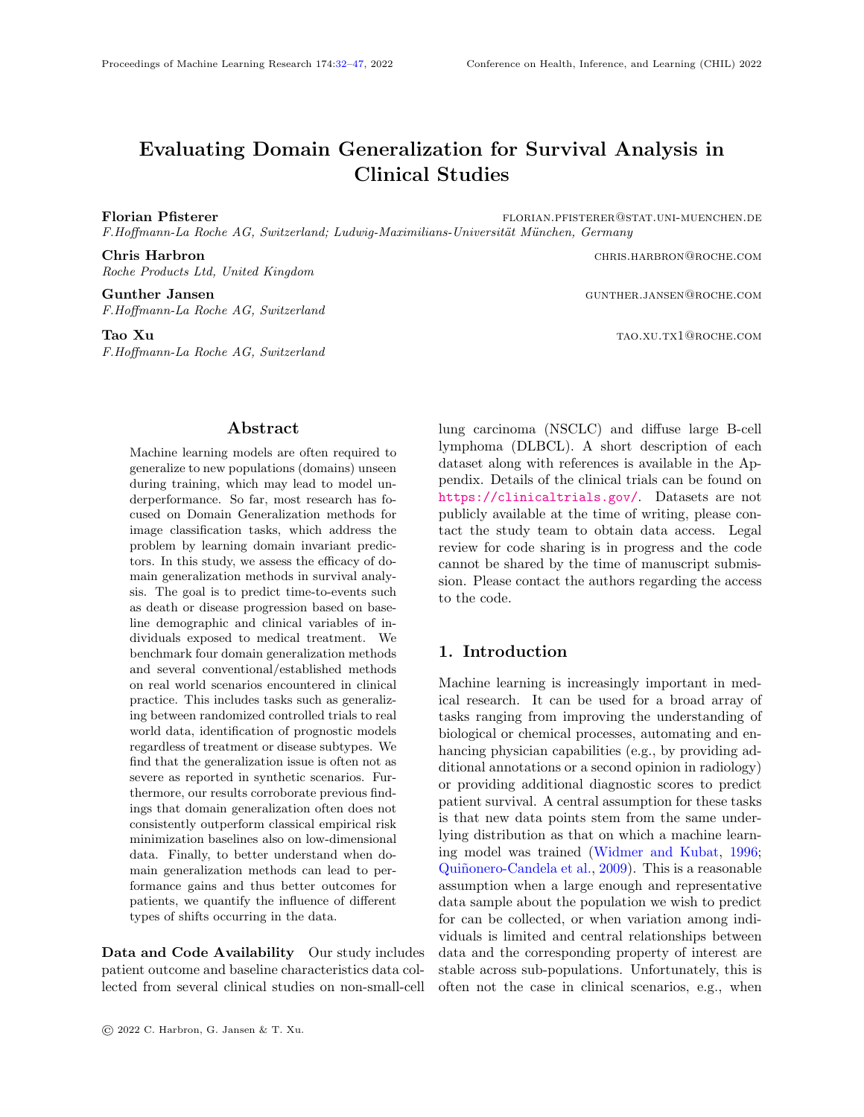# Evaluating Domain Generalization for Survival Analysis in Clinical Studies

Florian Pfisterer florian.php?external extends the florian.perspectively and the florian.perspectively extends the florial extension of  $F$ F.Hoffmann-La Roche AG, Switzerland; Ludwig-Maximilians-Universität München, Germany

Chris Harbron **Chris Harbron** christene christene christene christene christene christene christene christene christene christene christene christene christene christene christene christene christene christene christene ch Roche Products Ltd, United Kingdom

Gunther Jansen Gunther Gunther States and Gunther Gunther Gunther. JANSEN@ROCHE.COM F.Hoffmann-La Roche AG, Switzerland

F.Hoffmann-La Roche AG, Switzerland

Abstract

<span id="page-0-0"></span>Machine learning models are often required to generalize to new populations (domains) unseen during training, which may lead to model underperformance. So far, most research has focused on Domain Generalization methods for image classification tasks, which address the problem by learning domain invariant predictors. In this study, we assess the efficacy of domain generalization methods in survival analysis. The goal is to predict time-to-events such as death or disease progression based on baseline demographic and clinical variables of individuals exposed to medical treatment. We benchmark four domain generalization methods and several conventional/established methods on real world scenarios encountered in clinical practice. This includes tasks such as generalizing between randomized controlled trials to real world data, identification of prognostic models regardless of treatment or disease subtypes. We find that the generalization issue is often not as severe as reported in synthetic scenarios. Furthermore, our results corroborate previous findings that domain generalization often does not consistently outperform classical empirical risk minimization baselines also on low-dimensional data. Finally, to better understand when domain generalization methods can lead to performance gains and thus better outcomes for patients, we quantify the influence of different types of shifts occurring in the data.

Data and Code Availability Our study includes patient outcome and baseline characteristics data collected from several clinical studies on non-small-cell

Tao Xu tao.xu.tx1@roche.com

lung carcinoma (NSCLC) and diffuse large B-cell lymphoma (DLBCL). A short description of each dataset along with references is available in the Appendix. Details of the clinical trials can be found on <https://clinicaltrials.gov/>. Datasets are not publicly available at the time of writing, please contact the study team to obtain data access. Legal review for code sharing is in progress and the code cannot be shared by the time of manuscript submission. Please contact the authors regarding the access to the code.

# 1. Introduction

Machine learning is increasingly important in medical research. It can be used for a broad array of tasks ranging from improving the understanding of biological or chemical processes, automating and enhancing physician capabilities (e.g., by providing additional annotations or a second opinion in radiology) or providing additional diagnostic scores to predict patient survival. A central assumption for these tasks is that new data points stem from the same underlying distribution as that on which a machine learning model was trained [\(Widmer and Kubat,](#page-12-0) [1996;](#page-12-0) Quiñonero-Candela et al., [2009\)](#page-11-0). This is a reasonable assumption when a large enough and representative data sample about the population we wish to predict for can be collected, or when variation among individuals is limited and central relationships between data and the corresponding property of interest are stable across sub-populations. Unfortunately, this is often not the case in clinical scenarios, e.g., when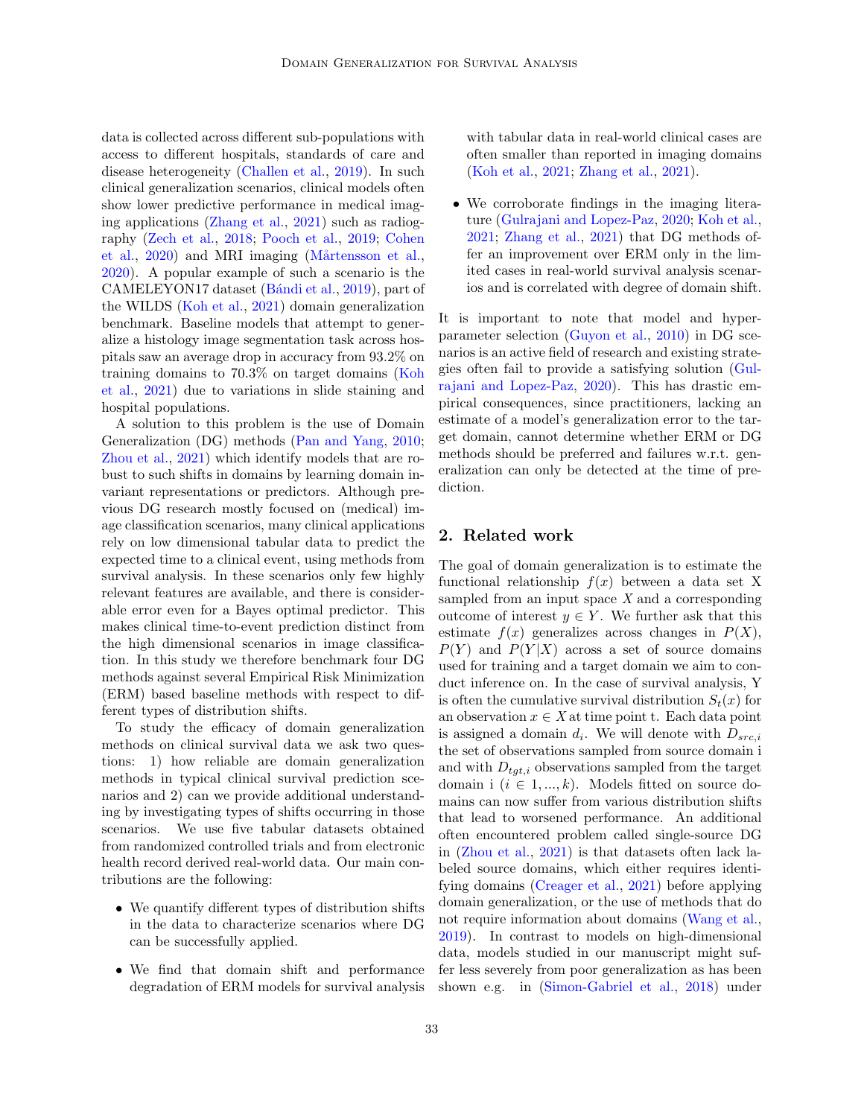data is collected across different sub-populations with access to different hospitals, standards of care and disease heterogeneity [\(Challen et al.,](#page-10-0) [2019\)](#page-10-0). In such clinical generalization scenarios, clinical models often show lower predictive performance in medical imaging applications [\(Zhang et al.,](#page-12-1) [2021\)](#page-12-1) such as radiography [\(Zech et al.,](#page-12-2) [2018;](#page-12-2) [Pooch et al.,](#page-11-1) [2019;](#page-11-1) [Cohen](#page-10-1) [et al.,](#page-10-1) [2020\)](#page-10-1) and MRI imaging (Mårtensson et al., [2020\)](#page-11-2). A popular example of such a scenario is the CAMELEYON17 dataset (Bándi et al., [2019\)](#page-9-0), part of the WILDS [\(Koh et al.,](#page-10-2) [2021\)](#page-10-2) domain generalization benchmark. Baseline models that attempt to generalize a histology image segmentation task across hospitals saw an average drop in accuracy from 93.2% on training domains to 70.3% on target domains [\(Koh](#page-10-2) [et al.,](#page-10-2) [2021\)](#page-10-2) due to variations in slide staining and hospital populations.

A solution to this problem is the use of Domain Generalization (DG) methods [\(Pan and Yang,](#page-11-3) [2010;](#page-11-3) [Zhou et al.,](#page-12-3) [2021\)](#page-12-3) which identify models that are robust to such shifts in domains by learning domain invariant representations or predictors. Although previous DG research mostly focused on (medical) image classification scenarios, many clinical applications rely on low dimensional tabular data to predict the expected time to a clinical event, using methods from survival analysis. In these scenarios only few highly relevant features are available, and there is considerable error even for a Bayes optimal predictor. This makes clinical time-to-event prediction distinct from the high dimensional scenarios in image classification. In this study we therefore benchmark four DG methods against several Empirical Risk Minimization (ERM) based baseline methods with respect to different types of distribution shifts.

To study the efficacy of domain generalization methods on clinical survival data we ask two questions: 1) how reliable are domain generalization methods in typical clinical survival prediction scenarios and 2) can we provide additional understanding by investigating types of shifts occurring in those scenarios. We use five tabular datasets obtained from randomized controlled trials and from electronic health record derived real-world data. Our main contributions are the following:

- We quantify different types of distribution shifts in the data to characterize scenarios where DG can be successfully applied.
- We find that domain shift and performance degradation of ERM models for survival analysis

with tabular data in real-world clinical cases are often smaller than reported in imaging domains [\(Koh et al.,](#page-10-2) [2021;](#page-10-2) [Zhang et al.,](#page-12-1) [2021\)](#page-12-1).

• We corroborate findings in the imaging literature [\(Gulrajani and Lopez-Paz,](#page-10-3) [2020;](#page-10-3) [Koh et al.,](#page-10-2) [2021;](#page-10-2) [Zhang et al.,](#page-12-1) [2021\)](#page-12-1) that DG methods offer an improvement over ERM only in the limited cases in real-world survival analysis scenarios and is correlated with degree of domain shift.

It is important to note that model and hyperparameter selection [\(Guyon et al.,](#page-10-4) [2010\)](#page-10-4) in DG scenarios is an active field of research and existing strategies often fail to provide a satisfying solution [\(Gul](#page-10-3)[rajani and Lopez-Paz,](#page-10-3) [2020\)](#page-10-3). This has drastic empirical consequences, since practitioners, lacking an estimate of a model's generalization error to the target domain, cannot determine whether ERM or DG methods should be preferred and failures w.r.t. generalization can only be detected at the time of prediction.

# 2. Related work

The goal of domain generalization is to estimate the functional relationship  $f(x)$  between a data set X sampled from an input space  $X$  and a corresponding outcome of interest  $y \in Y$ . We further ask that this estimate  $f(x)$  generalizes across changes in  $P(X)$ ,  $P(Y)$  and  $P(Y|X)$  across a set of source domains used for training and a target domain we aim to conduct inference on. In the case of survival analysis, Y is often the cumulative survival distribution  $S_t(x)$  for an observation  $x \in X$  at time point t. Each data point is assigned a domain  $d_i$ . We will denote with  $D_{src,i}$ the set of observations sampled from source domain i and with  $D_{tgt,i}$  observations sampled from the target domain i  $(i \in 1, ..., k)$ . Models fitted on source domains can now suffer from various distribution shifts that lead to worsened performance. An additional often encountered problem called single-source DG in [\(Zhou et al.,](#page-12-3) [2021\)](#page-12-3) is that datasets often lack labeled source domains, which either requires identifying domains [\(Creager et al.,](#page-10-5) [2021\)](#page-10-5) before applying domain generalization, or the use of methods that do not require information about domains [\(Wang et al.,](#page-12-4) [2019\)](#page-12-4). In contrast to models on high-dimensional data, models studied in our manuscript might suffer less severely from poor generalization as has been shown e.g. in [\(Simon-Gabriel et al.,](#page-11-4) [2018\)](#page-11-4) under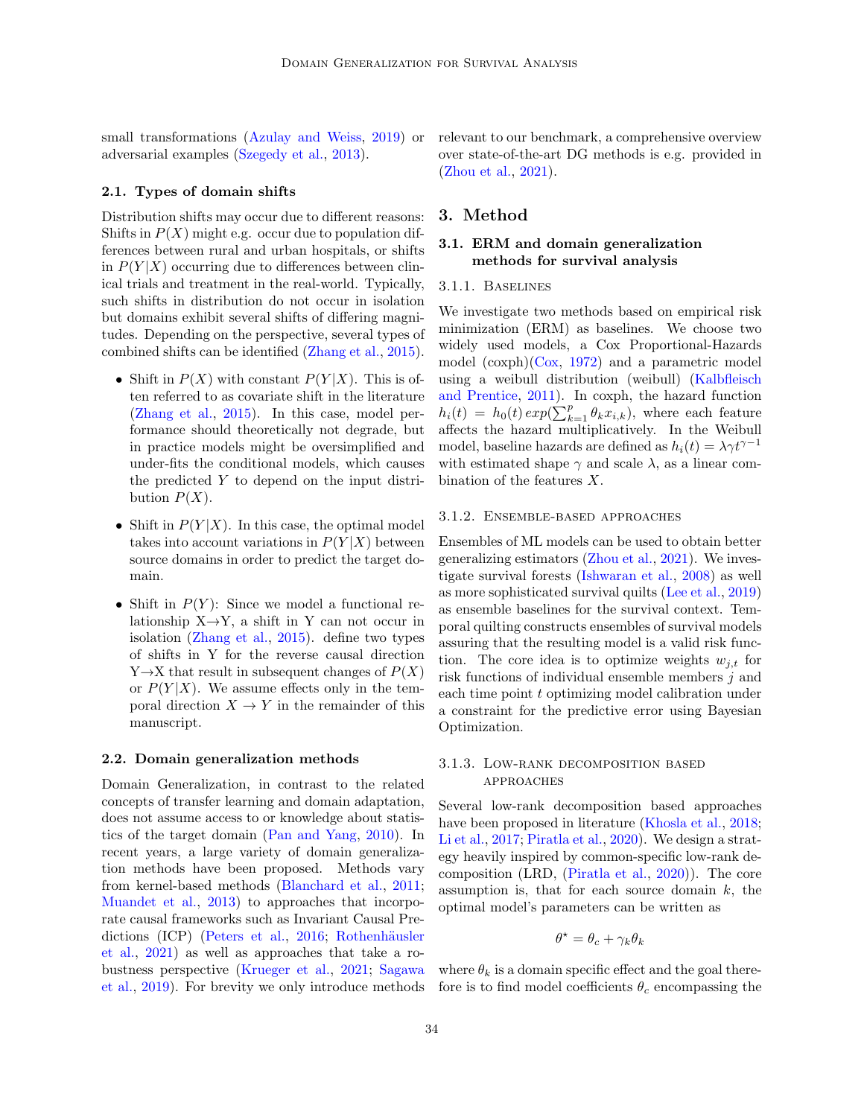small transformations [\(Azulay and Weiss,](#page-9-1) [2019\)](#page-9-1) or adversarial examples [\(Szegedy et al.,](#page-12-5) [2013\)](#page-12-5).

#### 2.1. Types of domain shifts

Distribution shifts may occur due to different reasons: Shifts in  $P(X)$  might e.g. occur due to population differences between rural and urban hospitals, or shifts in  $P(Y|X)$  occurring due to differences between clinical trials and treatment in the real-world. Typically, such shifts in distribution do not occur in isolation but domains exhibit several shifts of differing magnitudes. Depending on the perspective, several types of combined shifts can be identified [\(Zhang et al.,](#page-12-6) [2015\)](#page-12-6).

- Shift in  $P(X)$  with constant  $P(Y|X)$ . This is often referred to as covariate shift in the literature [\(Zhang et al.,](#page-12-6) [2015\)](#page-12-6). In this case, model performance should theoretically not degrade, but in practice models might be oversimplified and under-fits the conditional models, which causes the predicted Y to depend on the input distribution  $P(X)$ .
- Shift in  $P(Y|X)$ . In this case, the optimal model takes into account variations in  $P(Y|X)$  between source domains in order to predict the target domain.
- Shift in  $P(Y)$ : Since we model a functional relationship  $X \rightarrow Y$ , a shift in Y can not occur in isolation [\(Zhang et al.,](#page-12-6) [2015\)](#page-12-6). define two types of shifts in Y for the reverse causal direction  $Y \rightarrow X$  that result in subsequent changes of  $P(X)$ or  $P(Y|X)$ . We assume effects only in the temporal direction  $X \to Y$  in the remainder of this manuscript.

## 2.2. Domain generalization methods

Domain Generalization, in contrast to the related concepts of transfer learning and domain adaptation, does not assume access to or knowledge about statistics of the target domain [\(Pan and Yang,](#page-11-3) [2010\)](#page-11-3). In recent years, a large variety of domain generalization methods have been proposed. Methods vary from kernel-based methods [\(Blanchard et al.,](#page-9-2) [2011;](#page-9-2) [Muandet et al.,](#page-11-5) [2013\)](#page-11-5) to approaches that incorporate causal frameworks such as Invariant Causal Pre-dictions (ICP) [\(Peters et al.,](#page-11-6) [2016;](#page-11-6) Rothenhäusler [et al.,](#page-11-7) [2021\)](#page-11-7) as well as approaches that take a robustness perspective [\(Krueger et al.,](#page-11-8) [2021;](#page-11-8) [Sagawa](#page-11-9) [et al.,](#page-11-9) [2019\)](#page-11-9). For brevity we only introduce methods relevant to our benchmark, a comprehensive overview over state-of-the-art DG methods is e.g. provided in [\(Zhou et al.,](#page-12-3) [2021\)](#page-12-3).

## 3. Method

## 3.1. ERM and domain generalization methods for survival analysis

#### 3.1.1. Baselines

We investigate two methods based on empirical risk minimization (ERM) as baselines. We choose two widely used models, a Cox Proportional-Hazards model (coxph)[\(Cox,](#page-10-6) [1972\)](#page-10-6) and a parametric model using a weibull distribution (weibull) [\(Kalbfleisch](#page-10-7) [and Prentice,](#page-10-7) [2011\)](#page-10-7). In coxph, the hazard function  $h_i(t) = h_0(t) exp(\sum_{k=1}^p \theta_k x_{i,k}),$  where each feature affects the hazard multiplicatively. In the Weibull model, baseline hazards are defined as  $h_i(t) = \lambda \gamma t^{\gamma-1}$ with estimated shape  $\gamma$  and scale  $\lambda$ , as a linear combination of the features X.

#### 3.1.2. Ensemble-based approaches

Ensembles of ML models can be used to obtain better generalizing estimators [\(Zhou et al.,](#page-12-3) [2021\)](#page-12-3). We investigate survival forests [\(Ishwaran et al.,](#page-10-8) [2008\)](#page-10-8) as well as more sophisticated survival quilts [\(Lee et al.,](#page-11-10) [2019\)](#page-11-10) as ensemble baselines for the survival context. Temporal quilting constructs ensembles of survival models assuring that the resulting model is a valid risk function. The core idea is to optimize weights  $w_{i,t}$  for risk functions of individual ensemble members j and each time point t optimizing model calibration under a constraint for the predictive error using Bayesian Optimization.

## 3.1.3. Low-rank decomposition based approaches

Several low-rank decomposition based approaches have been proposed in literature [\(Khosla et al.,](#page-10-9) [2018;](#page-10-9) [Li et al.,](#page-11-11) [2017;](#page-11-11) [Piratla et al.,](#page-11-12) [2020\)](#page-11-12). We design a strategy heavily inspired by common-specific low-rank decomposition (LRD, [\(Piratla et al.,](#page-11-12) [2020\)](#page-11-12)). The core assumption is, that for each source domain  $k$ , the optimal model's parameters can be written as

$$
\theta^* = \theta_c + \gamma_k \theta_k
$$

where  $\theta_k$  is a domain specific effect and the goal therefore is to find model coefficients  $\theta_c$  encompassing the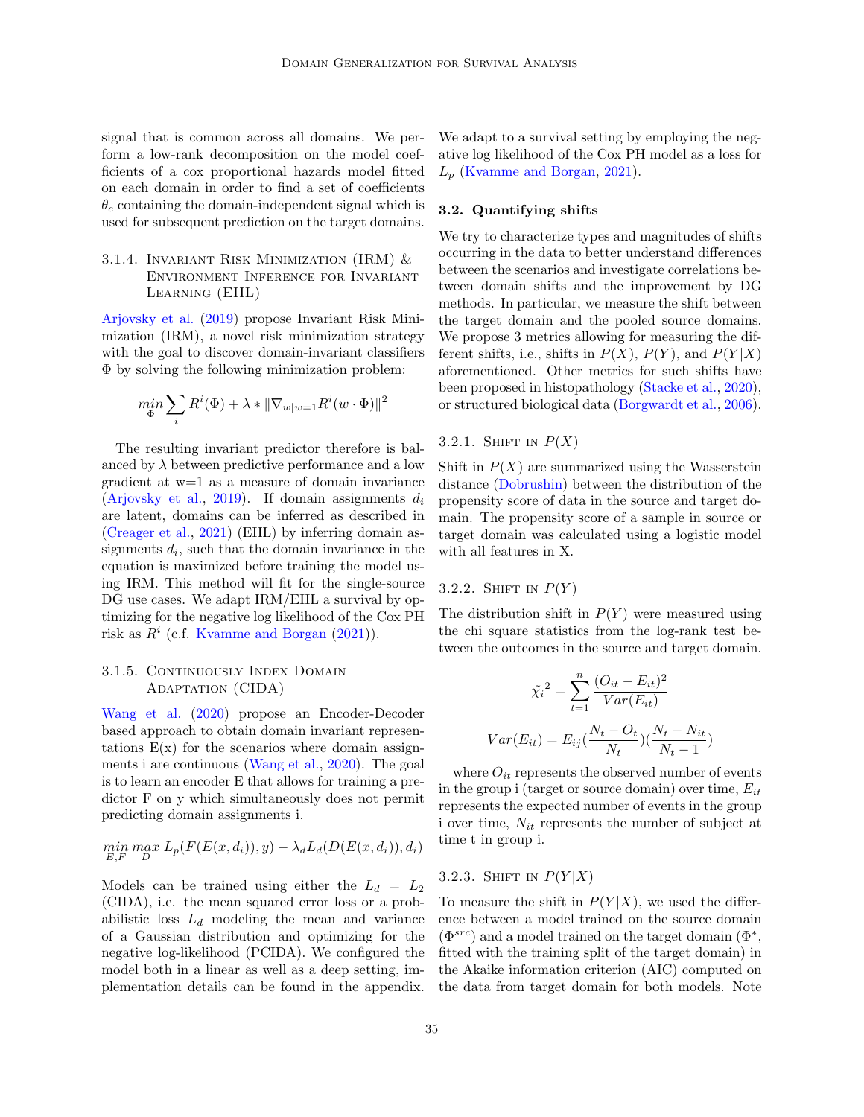signal that is common across all domains. We perform a low-rank decomposition on the model coefficients of a cox proportional hazards model fitted on each domain in order to find a set of coefficients  $\theta_c$  containing the domain-independent signal which is used for subsequent prediction on the target domains.

## 3.1.4. INVARIANT RISK MINIMIZATION (IRM)  $&$ Environment Inference for Invariant Learning (EIIL)

[Arjovsky et al.](#page-9-3) [\(2019\)](#page-9-3) propose Invariant Risk Minimization (IRM), a novel risk minimization strategy with the goal to discover domain-invariant classifiers Φ by solving the following minimization problem:

$$
\min_{\Phi}\sum_i R^i(\Phi)+\lambda*\|\nabla_{w|w=1}R^i(w\cdot\Phi)\|^2
$$

The resulting invariant predictor therefore is balanced by  $\lambda$  between predictive performance and a low gradient at w=1 as a measure of domain invariance [\(Arjovsky et al.,](#page-9-3) [2019\)](#page-9-3). If domain assignments  $d_i$ are latent, domains can be inferred as described in [\(Creager et al.,](#page-10-5) [2021\)](#page-10-5) (EIIL) by inferring domain assignments  $d_i$ , such that the domain invariance in the equation is maximized before training the model using IRM. This method will fit for the single-source DG use cases. We adapt IRM/EIIL a survival by optimizing for the negative log likelihood of the Cox PH risk as  $R^i$  (c.f. [Kvamme and Borgan](#page-11-13)  $(2021)$ ).

# 3.1.5. CONTINUOUSLY INDEX DOMAIN Adaptation (CIDA)

[Wang et al.](#page-12-7) [\(2020\)](#page-12-7) propose an Encoder-Decoder based approach to obtain domain invariant representations  $E(x)$  for the scenarios where domain assignments i are continuous [\(Wang et al.,](#page-12-7) [2020\)](#page-12-7). The goal is to learn an encoder E that allows for training a predictor F on y which simultaneously does not permit predicting domain assignments i.

$$
\min_{E,F} \max_D L_p(F(E(x, d_i)), y) - \lambda_d L_d(D(E(x, d_i)), d_i)
$$

Models can be trained using either the  $L_d = L_2$ (CIDA), i.e. the mean squared error loss or a probabilistic loss  $L_d$  modeling the mean and variance of a Gaussian distribution and optimizing for the negative log-likelihood (PCIDA). We configured the model both in a linear as well as a deep setting, implementation details can be found in the appendix.

We adapt to a survival setting by employing the negative log likelihood of the Cox PH model as a loss for  $L_p$  [\(Kvamme and Borgan,](#page-11-13) [2021\)](#page-11-13).

## 3.2. Quantifying shifts

We try to characterize types and magnitudes of shifts occurring in the data to better understand differences between the scenarios and investigate correlations between domain shifts and the improvement by DG methods. In particular, we measure the shift between the target domain and the pooled source domains. We propose 3 metrics allowing for measuring the different shifts, i.e., shifts in  $P(X)$ ,  $P(Y)$ , and  $P(Y|X)$ aforementioned. Other metrics for such shifts have been proposed in histopathology [\(Stacke et al.,](#page-12-8) [2020\)](#page-12-8), or structured biological data [\(Borgwardt et al.,](#page-9-4) [2006\)](#page-9-4).

## 3.2.1. SHIFT IN  $P(X)$

Shift in  $P(X)$  are summarized using the Wasserstein distance [\(Dobrushin\)](#page-10-10) between the distribution of the propensity score of data in the source and target domain. The propensity score of a sample in source or target domain was calculated using a logistic model with all features in X.

## 3.2.2. SHIFT IN  $P(Y)$

The distribution shift in  $P(Y)$  were measured using the chi square statistics from the log-rank test between the outcomes in the source and target domain.

$$
\tilde{\chi}_i^2 = \sum_{t=1}^n \frac{(O_{it} - E_{it})^2}{Var(E_{it})}
$$

$$
Var(E_{it}) = E_{ij}(\frac{N_t - O_t}{N_t})(\frac{N_t - N_{it}}{N_t - 1})
$$

where  $O_{it}$  represents the observed number of events in the group i (target or source domain) over time,  $E_{it}$ represents the expected number of events in the group i over time,  $N_{it}$  represents the number of subject at time t in group i.

# 3.2.3. SHIFT IN  $P(Y|X)$

To measure the shift in  $P(Y|X)$ , we used the difference between a model trained on the source domain  $(\Phi^{src})$  and a model trained on the target domain  $(\Phi^*,$ fitted with the training split of the target domain) in the Akaike information criterion (AIC) computed on the data from target domain for both models. Note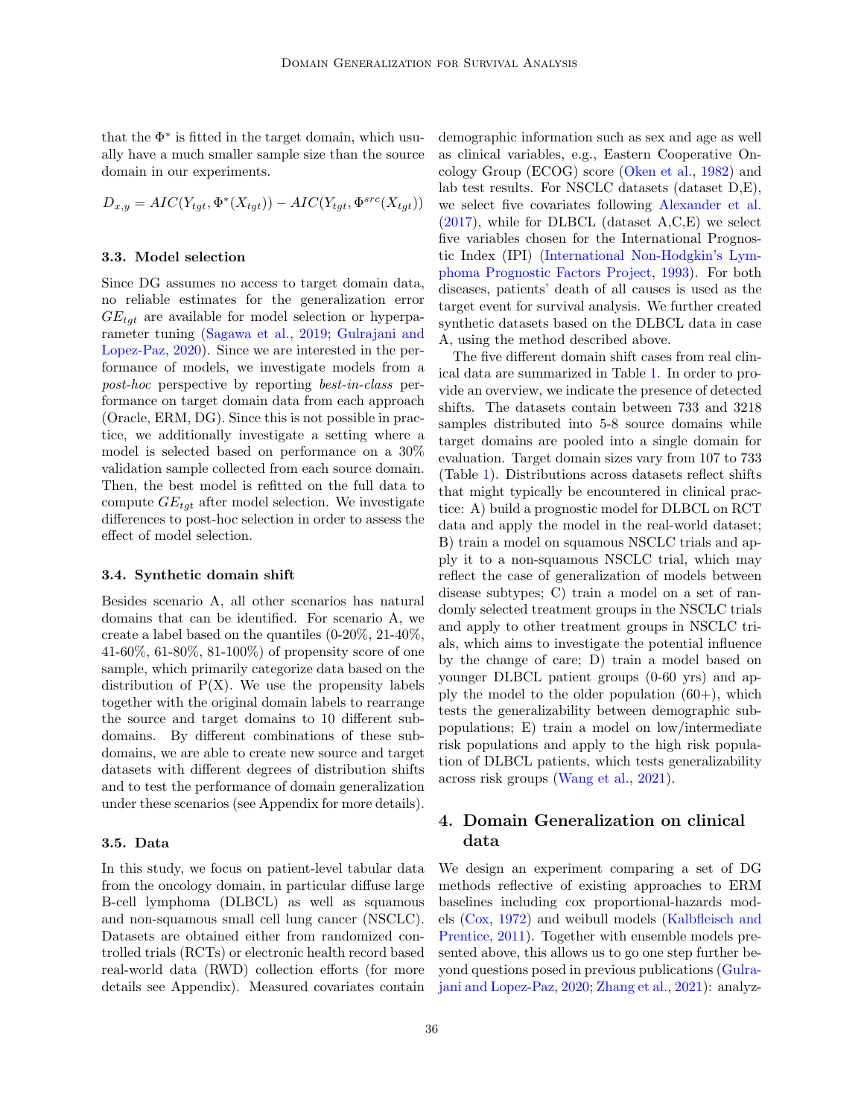that the  $\Phi^*$  is fitted in the target domain, which usually have a much smaller sample size than the source domain in our experiments.

$$
D_{x,y} = AIC(Y_{tgt}, \Phi^*(X_{tgt})) - AIC(Y_{tgt}, \Phi^{src}(X_{tgt}))
$$

#### 3.3. Model selection

Since DG assumes no access to target domain data, no reliable estimates for the generalization error  $GE_{tgt}$  are available for model selection or hyperparameter tuning [\(Sagawa et al.,](#page-11-9) [2019;](#page-11-9) [Gulrajani and](#page-10-3) [Lopez-Paz,](#page-10-3) [2020\)](#page-10-3). Since we are interested in the performance of models, we investigate models from a post-hoc perspective by reporting best-in-class performance on target domain data from each approach (Oracle, ERM, DG). Since this is not possible in practice, we additionally investigate a setting where a model is selected based on performance on a 30% validation sample collected from each source domain. Then, the best model is refitted on the full data to compute  $GE_{tgt}$  after model selection. We investigate differences to post-hoc selection in order to assess the effect of model selection.

#### 3.4. Synthetic domain shift

Besides scenario A, all other scenarios has natural domains that can be identified. For scenario A, we create a label based on the quantiles (0-20%, 21-40%, 41-60%, 61-80%, 81-100%) of propensity score of one sample, which primarily categorize data based on the distribution of  $P(X)$ . We use the propensity labels together with the original domain labels to rearrange the source and target domains to 10 different subdomains. By different combinations of these subdomains, we are able to create new source and target datasets with different degrees of distribution shifts and to test the performance of domain generalization under these scenarios (see Appendix for more details).

#### 3.5. Data

In this study, we focus on patient-level tabular data from the oncology domain, in particular diffuse large B-cell lymphoma (DLBCL) as well as squamous and non-squamous small cell lung cancer (NSCLC). Datasets are obtained either from randomized controlled trials (RCTs) or electronic health record based real-world data (RWD) collection efforts (for more details see Appendix). Measured covariates contain demographic information such as sex and age as well as clinical variables, e.g., Eastern Cooperative Oncology Group (ECOG) score [\(Oken et al.,](#page-11-14) [1982\)](#page-11-14) and lab test results. For NSCLC datasets (dataset D,E), we select five covariates following [Alexander et al.](#page-9-5)  $(2017)$ , while for DLBCL (dataset A,C,E) we select five variables chosen for the International Prognostic Index (IPI) [\(International Non-Hodgkin's Lym](#page-10-11)[phoma Prognostic Factors Project,](#page-10-11) [1993\)](#page-10-11). For both diseases, patients' death of all causes is used as the target event for survival analysis. We further created synthetic datasets based on the DLBCL data in case A, using the method described above.

The five different domain shift cases from real clinical data are summarized in Table [1.](#page-5-0) In order to provide an overview, we indicate the presence of detected shifts. The datasets contain between 733 and 3218 samples distributed into 5-8 source domains while target domains are pooled into a single domain for evaluation. Target domain sizes vary from 107 to 733 (Table [1\)](#page-5-0). Distributions across datasets reflect shifts that might typically be encountered in clinical practice: A) build a prognostic model for DLBCL on RCT data and apply the model in the real-world dataset; B) train a model on squamous NSCLC trials and apply it to a non-squamous NSCLC trial, which may reflect the case of generalization of models between disease subtypes; C) train a model on a set of randomly selected treatment groups in the NSCLC trials and apply to other treatment groups in NSCLC trials, which aims to investigate the potential influence by the change of care; D) train a model based on younger DLBCL patient groups (0-60 yrs) and apply the model to the older population  $(60+)$ , which tests the generalizability between demographic subpopulations; E) train a model on low/intermediate risk populations and apply to the high risk population of DLBCL patients, which tests generalizability across risk groups [\(Wang et al.,](#page-12-9) [2021\)](#page-12-9).

# 4. Domain Generalization on clinical data

We design an experiment comparing a set of DG methods reflective of existing approaches to ERM baselines including cox proportional-hazards models [\(Cox,](#page-10-6) [1972\)](#page-10-6) and weibull models [\(Kalbfleisch and](#page-10-7) [Prentice,](#page-10-7) [2011\)](#page-10-7). Together with ensemble models presented above, this allows us to go one step further beyond questions posed in previous publications [\(Gulra](#page-10-3)[jani and Lopez-Paz,](#page-10-3) [2020;](#page-10-3) [Zhang et al.,](#page-12-1) [2021\)](#page-12-1): analyz-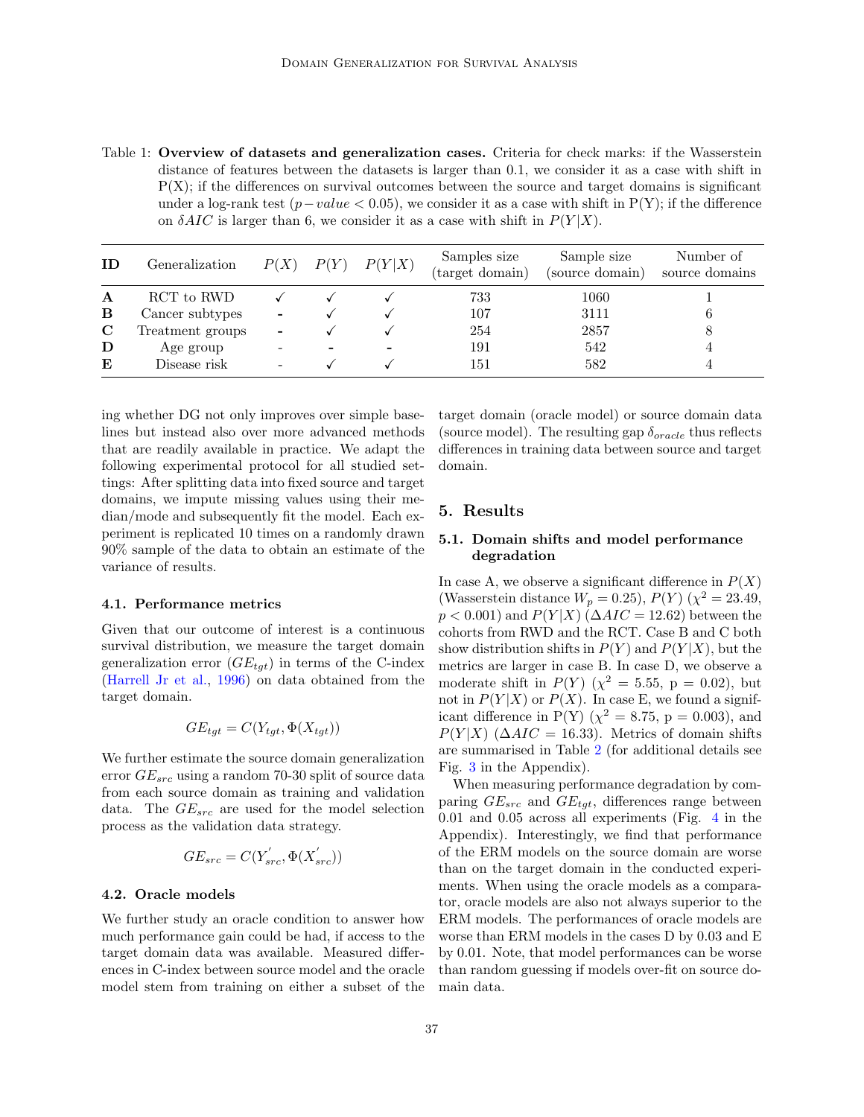<span id="page-5-0"></span>Table 1: Overview of datasets and generalization cases. Criteria for check marks: if the Wasserstein distance of features between the datasets is larger than 0.1, we consider it as a case with shift in  $P(X)$ ; if the differences on survival outcomes between the source and target domains is significant under a log-rank test  $(p-value < 0.05)$ , we consider it as a case with shift in P(Y); if the difference on  $\delta AIC$  is larger than 6, we consider it as a case with shift in  $P(Y|X)$ .

| ΙD | Generalization   | P(X)                     | P(Y) | P(Y X) | Samples size<br>(target domain) | Sample size<br>(source domain) | Number of<br>source domains |
|----|------------------|--------------------------|------|--------|---------------------------------|--------------------------------|-----------------------------|
| A  | RCT to RWD       |                          |      |        | 733                             | 1060                           |                             |
| B  | Cancer subtypes  | $\overline{\phantom{a}}$ |      |        | 107                             | 3111                           |                             |
| C  | Treatment groups | $\overline{\phantom{0}}$ |      |        | 254                             | 2857                           | 8                           |
| D  | Age group        |                          |      |        | 191                             | 542                            |                             |
| E  | Disease risk     |                          |      |        | 151                             | 582                            |                             |

ing whether DG not only improves over simple baselines but instead also over more advanced methods that are readily available in practice. We adapt the following experimental protocol for all studied settings: After splitting data into fixed source and target domains, we impute missing values using their median/mode and subsequently fit the model. Each experiment is replicated 10 times on a randomly drawn 90% sample of the data to obtain an estimate of the variance of results.

#### 4.1. Performance metrics

Given that our outcome of interest is a continuous survival distribution, we measure the target domain generalization error  $(GE_{tgt})$  in terms of the C-index [\(Harrell Jr et al.,](#page-10-12) [1996\)](#page-10-12) on data obtained from the target domain.

$$
GE_{tgt} = C(Y_{tgt}, \Phi(X_{tgt}))
$$

We further estimate the source domain generalization error  $GE_{src}$  using a random 70-30 split of source data from each source domain as training and validation data. The  $GE_{src}$  are used for the model selection process as the validation data strategy.

$$
GE_{src} = C(Y^{'}_{src}, \Phi(X^{'}_{src}))
$$

#### 4.2. Oracle models

We further study an oracle condition to answer how much performance gain could be had, if access to the target domain data was available. Measured differences in C-index between source model and the oracle model stem from training on either a subset of the target domain (oracle model) or source domain data (source model). The resulting gap  $\delta_{oracle}$  thus reflects differences in training data between source and target domain.

# 5. Results

## 5.1. Domain shifts and model performance degradation

In case A, we observe a significant difference in  $P(X)$ (Wasserstein distance  $W_p = 0.25$ ),  $P(Y) (\chi^2 = 23.49,$  $p < 0.001$ ) and  $P(Y|X)$  ( $\Delta AIC = 12.62$ ) between the cohorts from RWD and the RCT. Case B and C both show distribution shifts in  $P(Y)$  and  $P(Y|X)$ , but the metrics are larger in case B. In case D, we observe a moderate shift in  $P(Y)$  ( $\chi^2 = 5.55$ , p = 0.02), but not in  $P(Y|X)$  or  $P(X)$ . In case E, we found a significant difference in P(Y) ( $\chi^2 = 8.75$ , p = 0.003), and  $P(Y|X)$  ( $\Delta AIC = 16.33$ ). Metrics of domain shifts are summarised in Table [2](#page-6-0) (for additional details see Fig. [3](#page-14-0) in the Appendix).

When measuring performance degradation by comparing  $GE_{src}$  and  $GE_{tgt}$ , differences range between 0.01 and 0.05 across all experiments (Fig. [4](#page-14-1) in the Appendix). Interestingly, we find that performance of the ERM models on the source domain are worse than on the target domain in the conducted experiments. When using the oracle models as a comparator, oracle models are also not always superior to the ERM models. The performances of oracle models are worse than ERM models in the cases D by 0.03 and E by 0.01. Note, that model performances can be worse than random guessing if models over-fit on source domain data.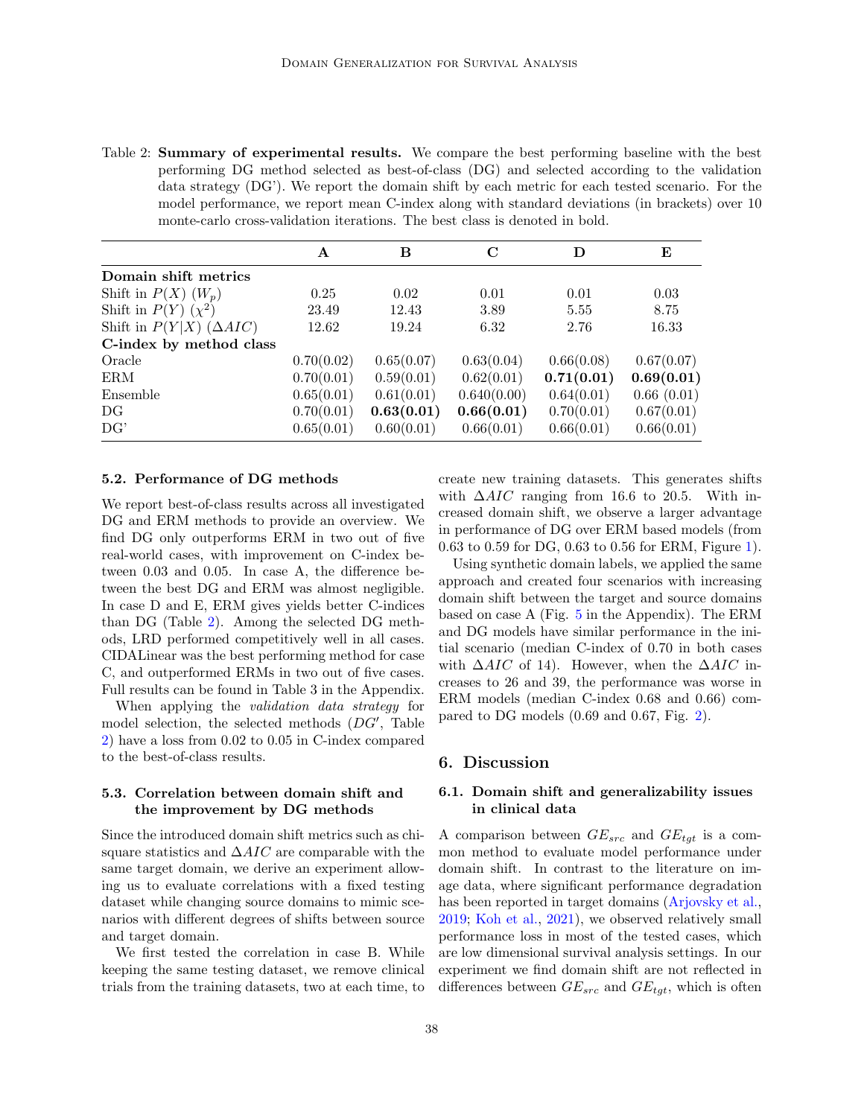<span id="page-6-0"></span>Table 2: Summary of experimental results. We compare the best performing baseline with the best performing DG method selected as best-of-class (DG) and selected according to the validation data strategy (DG'). We report the domain shift by each metric for each tested scenario. For the model performance, we report mean C-index along with standard deviations (in brackets) over 10 monte-carlo cross-validation iterations. The best class is denoted in bold.

|                                    | A          | в          | C           | D          | E          |
|------------------------------------|------------|------------|-------------|------------|------------|
| Domain shift metrics               |            |            |             |            |            |
| Shift in $P(X)$ $(W_p)$            | 0.25       | 0.02       | 0.01        | 0.01       | 0.03       |
| Shift in $P(Y)$ $(\chi^2)$         | 23.49      | 12.43      | 3.89        | 5.55       | 8.75       |
| Shift in $P(Y X)$ ( $\Delta AIC$ ) | 12.62      | 19.24      | 6.32        | 2.76       | 16.33      |
| C-index by method class            |            |            |             |            |            |
| Oracle                             | 0.70(0.02) | 0.65(0.07) | 0.63(0.04)  | 0.66(0.08) | 0.67(0.07) |
| ERM                                | 0.70(0.01) | 0.59(0.01) | 0.62(0.01)  | 0.71(0.01) | 0.69(0.01) |
| Ensemble                           | 0.65(0.01) | 0.61(0.01) | 0.640(0.00) | 0.64(0.01) | 0.66(0.01) |
| DG                                 | 0.70(0.01) | 0.63(0.01) | 0.66(0.01)  | 0.70(0.01) | 0.67(0.01) |
| DG'                                | 0.65(0.01) | 0.60(0.01) | 0.66(0.01)  | 0.66(0.01) | 0.66(0.01) |

#### 5.2. Performance of DG methods

We report best-of-class results across all investigated DG and ERM methods to provide an overview. We find DG only outperforms ERM in two out of five real-world cases, with improvement on C-index between 0.03 and 0.05. In case A, the difference between the best DG and ERM was almost negligible. In case D and E, ERM gives yields better C-indices than DG (Table [2\)](#page-6-0). Among the selected DG methods, LRD performed competitively well in all cases. CIDALinear was the best performing method for case C, and outperformed ERMs in two out of five cases. Full results can be found in Table 3 in the Appendix.

When applying the validation data strategy for model selection, the selected methods (DG′ , Table [2\)](#page-6-0) have a loss from 0.02 to 0.05 in C-index compared to the best-of-class results.

## 5.3. Correlation between domain shift and the improvement by DG methods

Since the introduced domain shift metrics such as chisquare statistics and  $\Delta AIC$  are comparable with the same target domain, we derive an experiment allowing us to evaluate correlations with a fixed testing dataset while changing source domains to mimic scenarios with different degrees of shifts between source and target domain.

We first tested the correlation in case B. While keeping the same testing dataset, we remove clinical trials from the training datasets, two at each time, to create new training datasets. This generates shifts with  $\Delta AIC$  ranging from 16.6 to 20.5. With increased domain shift, we observe a larger advantage in performance of DG over ERM based models (from 0.63 to 0.59 for DG, 0.63 to 0.56 for ERM, Figure [1\)](#page-7-0).

Using synthetic domain labels, we applied the same approach and created four scenarios with increasing domain shift between the target and source domains based on case A (Fig. [5](#page-15-1) in the Appendix). The ERM and DG models have similar performance in the initial scenario (median C-index of 0.70 in both cases with  $\Delta AIC$  of 14). However, when the  $\Delta AIC$  increases to 26 and 39, the performance was worse in ERM models (median C-index 0.68 and 0.66) compared to DG models (0.69 and 0.67, Fig. [2\)](#page-8-0).

#### 6. Discussion

# 6.1. Domain shift and generalizability issues in clinical data

A comparison between  $GE_{src}$  and  $GE_{tgt}$  is a common method to evaluate model performance under domain shift. In contrast to the literature on image data, where significant performance degradation has been reported in target domains [\(Arjovsky et al.,](#page-9-3) [2019;](#page-9-3) [Koh et al.,](#page-10-2) [2021\)](#page-10-2), we observed relatively small performance loss in most of the tested cases, which are low dimensional survival analysis settings. In our experiment we find domain shift are not reflected in differences between  $GE_{src}$  and  $GE_{tat}$ , which is often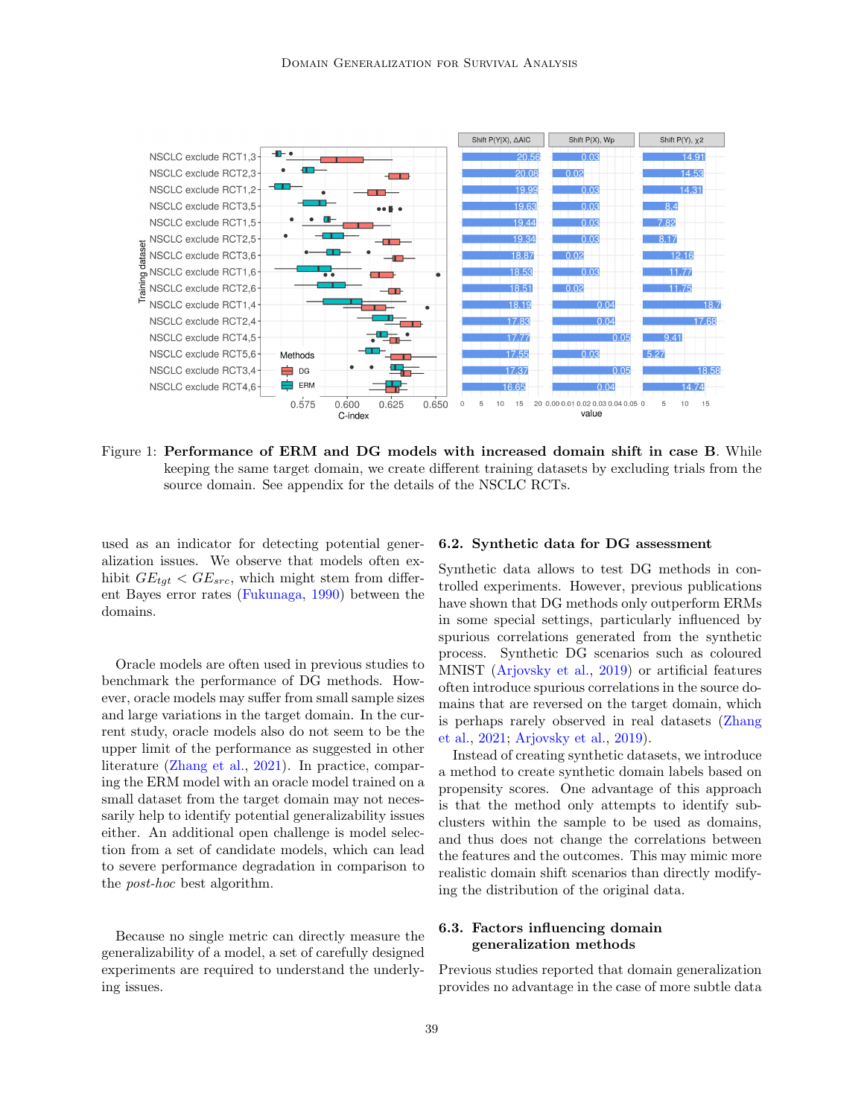

<span id="page-7-0"></span>Figure 1: Performance of ERM and DG models with increased domain shift in case B. While keeping the same target domain, we create different training datasets by excluding trials from the source domain. See appendix for the details of the NSCLC RCTs.

used as an indicator for detecting potential generalization issues. We observe that models often exhibit  $GE_{tgt} < GE_{src}$ , which might stem from different Bayes error rates [\(Fukunaga,](#page-10-13) [1990\)](#page-10-13) between the domains.

Oracle models are often used in previous studies to benchmark the performance of DG methods. However, oracle models may suffer from small sample sizes and large variations in the target domain. In the current study, oracle models also do not seem to be the upper limit of the performance as suggested in other literature [\(Zhang et al.,](#page-12-1) [2021\)](#page-12-1). In practice, comparing the ERM model with an oracle model trained on a small dataset from the target domain may not necessarily help to identify potential generalizability issues either. An additional open challenge is model selection from a set of candidate models, which can lead to severe performance degradation in comparison to the post-hoc best algorithm.

Because no single metric can directly measure the generalizability of a model, a set of carefully designed experiments are required to understand the underlying issues.

#### 6.2. Synthetic data for DG assessment

Synthetic data allows to test DG methods in controlled experiments. However, previous publications have shown that DG methods only outperform ERMs in some special settings, particularly influenced by spurious correlations generated from the synthetic process. Synthetic DG scenarios such as coloured MNIST [\(Arjovsky et al.,](#page-9-3) [2019\)](#page-9-3) or artificial features often introduce spurious correlations in the source domains that are reversed on the target domain, which is perhaps rarely observed in real datasets [\(Zhang](#page-12-1) [et al.,](#page-12-1) [2021;](#page-12-1) [Arjovsky et al.,](#page-9-3) [2019\)](#page-9-3).

Instead of creating synthetic datasets, we introduce a method to create synthetic domain labels based on propensity scores. One advantage of this approach is that the method only attempts to identify subclusters within the sample to be used as domains, and thus does not change the correlations between the features and the outcomes. This may mimic more realistic domain shift scenarios than directly modifying the distribution of the original data.

# 6.3. Factors influencing domain generalization methods

Previous studies reported that domain generalization provides no advantage in the case of more subtle data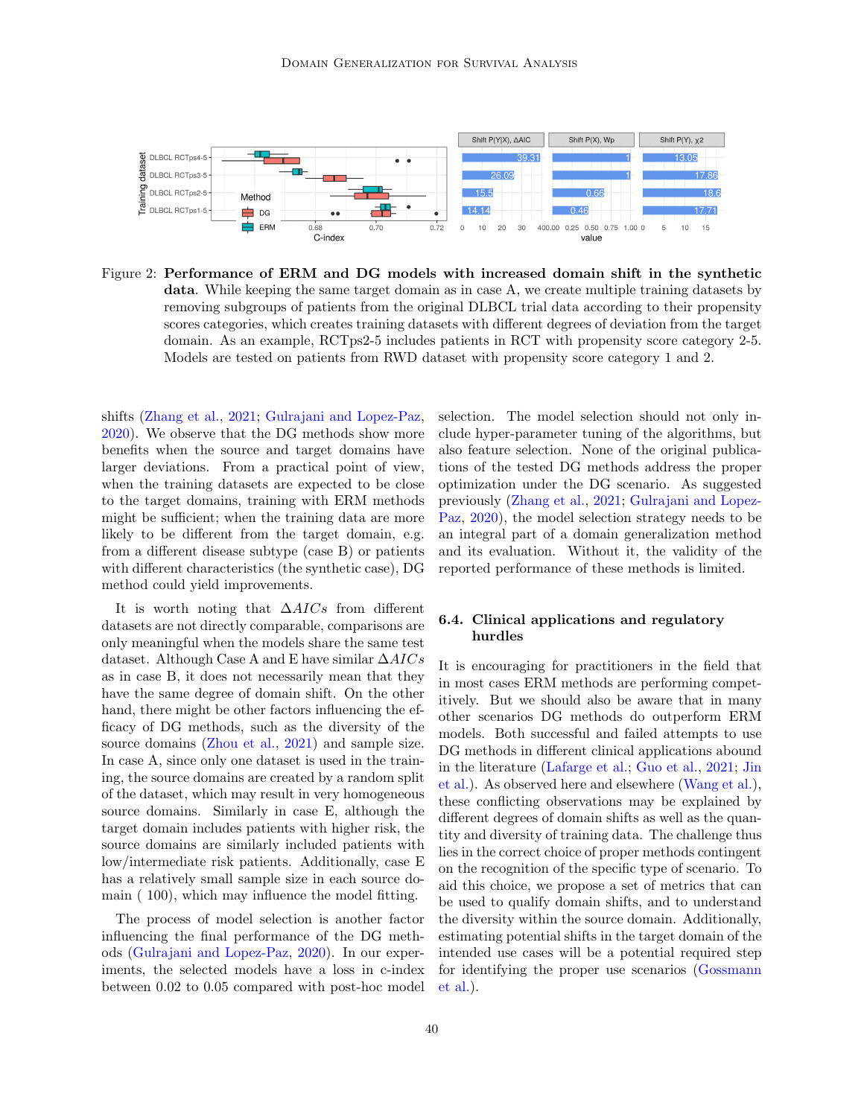

<span id="page-8-0"></span>Figure 2: Performance of ERM and DG models with increased domain shift in the synthetic data. While keeping the same target domain as in case A, we create multiple training datasets by removing subgroups of patients from the original DLBCL trial data according to their propensity scores categories, which creates training datasets with different degrees of deviation from the target domain. As an example, RCTps2-5 includes patients in RCT with propensity score category 2-5. Models are tested on patients from RWD dataset with propensity score category 1 and 2.

shifts [\(Zhang et al.,](#page-12-1) [2021;](#page-12-1) [Gulrajani and Lopez-Paz,](#page-10-3) [2020\)](#page-10-3). We observe that the DG methods show more benefits when the source and target domains have larger deviations. From a practical point of view, when the training datasets are expected to be close to the target domains, training with ERM methods might be sufficient; when the training data are more likely to be different from the target domain, e.g. from a different disease subtype (case B) or patients with different characteristics (the synthetic case), DG method could yield improvements.

It is worth noting that  $\Delta AICs$  from different datasets are not directly comparable, comparisons are only meaningful when the models share the same test dataset. Although Case A and E have similar  $\Delta AICs$ as in case B, it does not necessarily mean that they have the same degree of domain shift. On the other hand, there might be other factors influencing the efficacy of DG methods, such as the diversity of the source domains [\(Zhou et al.,](#page-12-3) [2021\)](#page-12-3) and sample size. In case A, since only one dataset is used in the training, the source domains are created by a random split of the dataset, which may result in very homogeneous source domains. Similarly in case E, although the target domain includes patients with higher risk, the source domains are similarly included patients with low/intermediate risk patients. Additionally, case E has a relatively small sample size in each source domain ( 100), which may influence the model fitting.

The process of model selection is another factor influencing the final performance of the DG methods [\(Gulrajani and Lopez-Paz,](#page-10-3) [2020\)](#page-10-3). In our experiments, the selected models have a loss in c-index between 0.02 to 0.05 compared with post-hoc model selection. The model selection should not only include hyper-parameter tuning of the algorithms, but also feature selection. None of the original publications of the tested DG methods address the proper optimization under the DG scenario. As suggested previously [\(Zhang et al.,](#page-12-1) [2021;](#page-12-1) [Gulrajani and Lopez-](#page-10-3)[Paz,](#page-10-3) [2020\)](#page-10-3), the model selection strategy needs to be an integral part of a domain generalization method and its evaluation. Without it, the validity of the reported performance of these methods is limited.

# 6.4. Clinical applications and regulatory hurdles

It is encouraging for practitioners in the field that in most cases ERM methods are performing competitively. But we should also be aware that in many other scenarios DG methods do outperform ERM models. Both successful and failed attempts to use DG methods in different clinical applications abound in the literature [\(Lafarge et al.;](#page-11-15) [Guo et al.,](#page-10-14) [2021;](#page-10-14) [Jin](#page-10-15) [et al.\)](#page-10-15). As observed here and elsewhere [\(Wang et al.\)](#page-12-10), these conflicting observations may be explained by different degrees of domain shifts as well as the quantity and diversity of training data. The challenge thus lies in the correct choice of proper methods contingent on the recognition of the specific type of scenario. To aid this choice, we propose a set of metrics that can be used to qualify domain shifts, and to understand the diversity within the source domain. Additionally, estimating potential shifts in the target domain of the intended use cases will be a potential required step for identifying the proper use scenarios [\(Gossmann](#page-10-16) [et al.\)](#page-10-16).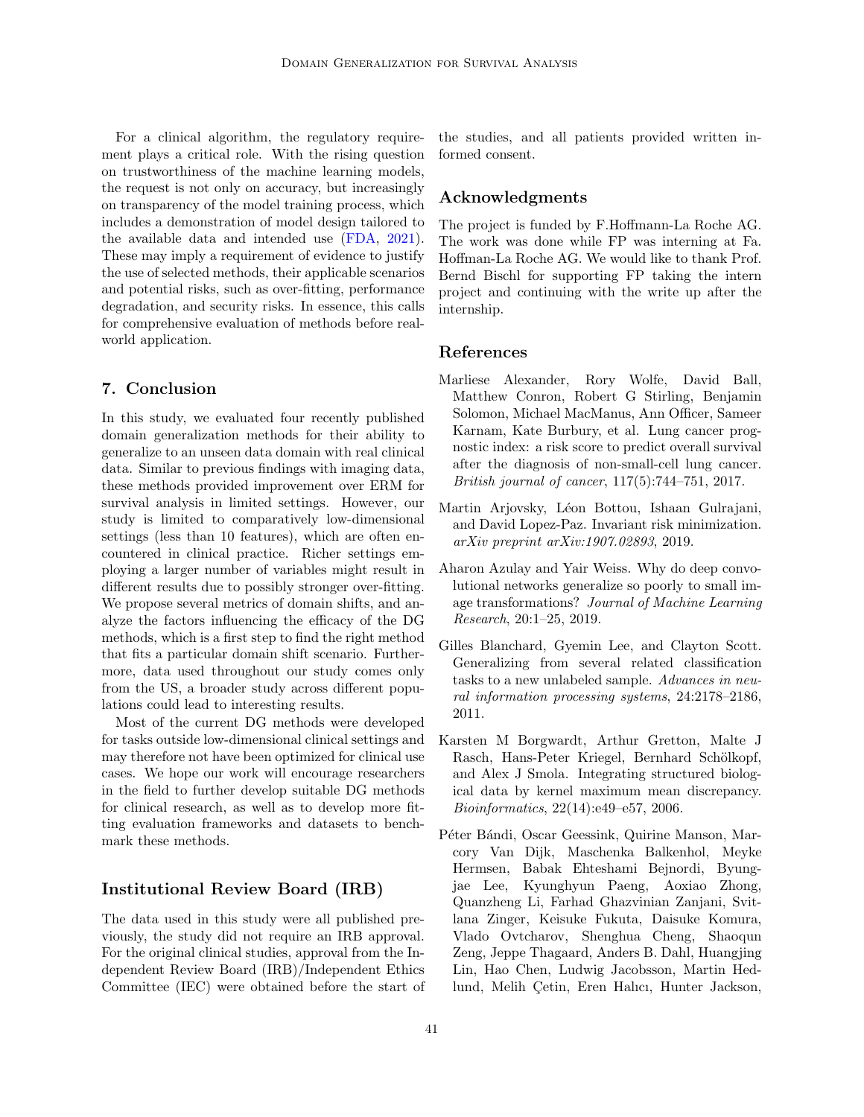For a clinical algorithm, the regulatory requirement plays a critical role. With the rising question on trustworthiness of the machine learning models, the request is not only on accuracy, but increasingly on transparency of the model training process, which includes a demonstration of model design tailored to the available data and intended use [\(FDA,](#page-10-17) [2021\)](#page-10-17). These may imply a requirement of evidence to justify the use of selected methods, their applicable scenarios and potential risks, such as over-fitting, performance degradation, and security risks. In essence, this calls for comprehensive evaluation of methods before realworld application.

# 7. Conclusion

In this study, we evaluated four recently published domain generalization methods for their ability to generalize to an unseen data domain with real clinical data. Similar to previous findings with imaging data, these methods provided improvement over ERM for survival analysis in limited settings. However, our study is limited to comparatively low-dimensional settings (less than 10 features), which are often encountered in clinical practice. Richer settings employing a larger number of variables might result in different results due to possibly stronger over-fitting. We propose several metrics of domain shifts, and analyze the factors influencing the efficacy of the DG methods, which is a first step to find the right method that fits a particular domain shift scenario. Furthermore, data used throughout our study comes only from the US, a broader study across different populations could lead to interesting results.

Most of the current DG methods were developed for tasks outside low-dimensional clinical settings and may therefore not have been optimized for clinical use cases. We hope our work will encourage researchers in the field to further develop suitable DG methods for clinical research, as well as to develop more fitting evaluation frameworks and datasets to benchmark these methods.

## Institutional Review Board (IRB)

The data used in this study were all published previously, the study did not require an IRB approval. For the original clinical studies, approval from the Independent Review Board (IRB)/Independent Ethics Committee (IEC) were obtained before the start of

the studies, and all patients provided written informed consent.

# Acknowledgments

The project is funded by F.Hoffmann-La Roche AG. The work was done while FP was interning at Fa. Hoffman-La Roche AG. We would like to thank Prof. Bernd Bischl for supporting FP taking the intern project and continuing with the write up after the internship.

# References

- <span id="page-9-5"></span>Marliese Alexander, Rory Wolfe, David Ball, Matthew Conron, Robert G Stirling, Benjamin Solomon, Michael MacManus, Ann Officer, Sameer Karnam, Kate Burbury, et al. Lung cancer prognostic index: a risk score to predict overall survival after the diagnosis of non-small-cell lung cancer. British journal of cancer, 117(5):744–751, 2017.
- <span id="page-9-3"></span>Martin Arjovsky, Léon Bottou, Ishaan Gulrajani, and David Lopez-Paz. Invariant risk minimization. arXiv preprint arXiv:1907.02893, 2019.
- <span id="page-9-1"></span>Aharon Azulay and Yair Weiss. Why do deep convolutional networks generalize so poorly to small image transformations? Journal of Machine Learning Research, 20:1–25, 2019.
- <span id="page-9-2"></span>Gilles Blanchard, Gyemin Lee, and Clayton Scott. Generalizing from several related classification tasks to a new unlabeled sample. Advances in neural information processing systems, 24:2178–2186, 2011.
- <span id="page-9-4"></span>Karsten M Borgwardt, Arthur Gretton, Malte J Rasch, Hans-Peter Kriegel, Bernhard Schölkopf, and Alex J Smola. Integrating structured biological data by kernel maximum mean discrepancy. Bioinformatics, 22(14):e49–e57, 2006.
- <span id="page-9-0"></span>Péter Bándi, Oscar Geessink, Quirine Manson, Marcory Van Dijk, Maschenka Balkenhol, Meyke Hermsen, Babak Ehteshami Bejnordi, Byungjae Lee, Kyunghyun Paeng, Aoxiao Zhong, Quanzheng Li, Farhad Ghazvinian Zanjani, Svitlana Zinger, Keisuke Fukuta, Daisuke Komura, Vlado Ovtcharov, Shenghua Cheng, Shaoqun Zeng, Jeppe Thagaard, Anders B. Dahl, Huangjing Lin, Hao Chen, Ludwig Jacobsson, Martin Hedlund, Melih Cetin, Eren Halıcı, Hunter Jackson,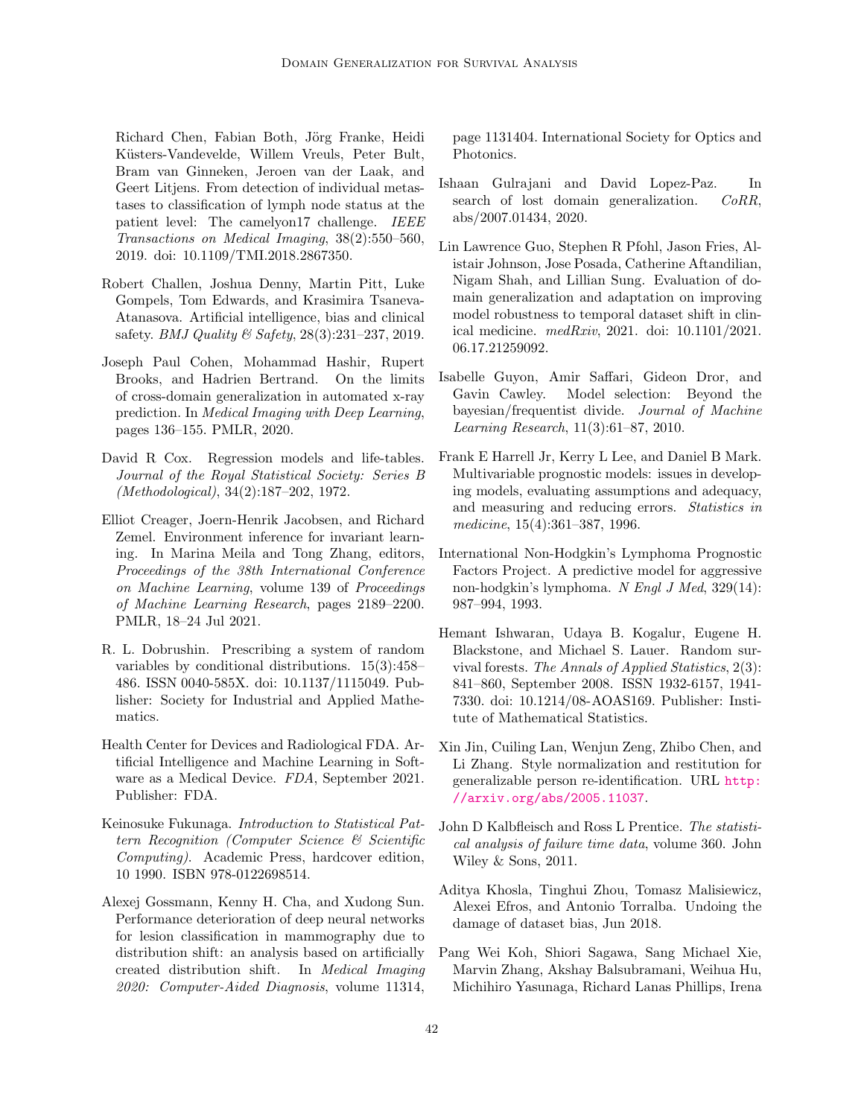Richard Chen, Fabian Both, Jörg Franke, Heidi Küsters-Vandevelde, Willem Vreuls, Peter Bult, Bram van Ginneken, Jeroen van der Laak, and Geert Litjens. From detection of individual metastases to classification of lymph node status at the patient level: The camelyon17 challenge. IEEE Transactions on Medical Imaging, 38(2):550–560, 2019. doi: 10.1109/TMI.2018.2867350.

- <span id="page-10-0"></span>Robert Challen, Joshua Denny, Martin Pitt, Luke Gompels, Tom Edwards, and Krasimira Tsaneva-Atanasova. Artificial intelligence, bias and clinical safety. *BMJ Quality*  $\mathcal{B}$  *Safety*, 28(3):231–237, 2019.
- <span id="page-10-1"></span>Joseph Paul Cohen, Mohammad Hashir, Rupert Brooks, and Hadrien Bertrand. On the limits of cross-domain generalization in automated x-ray prediction. In Medical Imaging with Deep Learning, pages 136–155. PMLR, 2020.
- <span id="page-10-6"></span>David R Cox. Regression models and life-tables. Journal of the Royal Statistical Society: Series B (Methodological), 34(2):187–202, 1972.
- <span id="page-10-5"></span>Elliot Creager, Joern-Henrik Jacobsen, and Richard Zemel. Environment inference for invariant learning. In Marina Meila and Tong Zhang, editors, Proceedings of the 38th International Conference on Machine Learning, volume 139 of Proceedings of Machine Learning Research, pages 2189–2200. PMLR, 18–24 Jul 2021.
- <span id="page-10-10"></span>R. L. Dobrushin. Prescribing a system of random variables by conditional distributions. 15(3):458– 486. ISSN 0040-585X. doi: 10.1137/1115049. Publisher: Society for Industrial and Applied Mathematics.
- <span id="page-10-17"></span>Health Center for Devices and Radiological FDA. Artificial Intelligence and Machine Learning in Software as a Medical Device. FDA, September 2021. Publisher: FDA.
- <span id="page-10-13"></span>Keinosuke Fukunaga. Introduction to Statistical Pattern Recognition (Computer Science & Scientific Computing). Academic Press, hardcover edition, 10 1990. ISBN 978-0122698514.
- <span id="page-10-16"></span>Alexej Gossmann, Kenny H. Cha, and Xudong Sun. Performance deterioration of deep neural networks for lesion classification in mammography due to distribution shift: an analysis based on artificially created distribution shift. In Medical Imaging 2020: Computer-Aided Diagnosis, volume 11314,

page 1131404. International Society for Optics and Photonics.

- <span id="page-10-3"></span>Ishaan Gulrajani and David Lopez-Paz. In search of lost domain generalization. *CoRR*, abs/2007.01434, 2020.
- <span id="page-10-14"></span>Lin Lawrence Guo, Stephen R Pfohl, Jason Fries, Alistair Johnson, Jose Posada, Catherine Aftandilian, Nigam Shah, and Lillian Sung. Evaluation of domain generalization and adaptation on improving model robustness to temporal dataset shift in clinical medicine. medRxiv, 2021. doi: 10.1101/2021. 06.17.21259092.
- <span id="page-10-4"></span>Isabelle Guyon, Amir Saffari, Gideon Dror, and Gavin Cawley. Model selection: Beyond the bayesian/frequentist divide. Journal of Machine Learning Research, 11(3):61–87, 2010.
- <span id="page-10-12"></span>Frank E Harrell Jr, Kerry L Lee, and Daniel B Mark. Multivariable prognostic models: issues in developing models, evaluating assumptions and adequacy, and measuring and reducing errors. Statistics in medicine, 15(4):361–387, 1996.
- <span id="page-10-11"></span>International Non-Hodgkin's Lymphoma Prognostic Factors Project. A predictive model for aggressive non-hodgkin's lymphoma. N Engl J Med, 329(14): 987–994, 1993.
- <span id="page-10-8"></span>Hemant Ishwaran, Udaya B. Kogalur, Eugene H. Blackstone, and Michael S. Lauer. Random survival forests. The Annals of Applied Statistics, 2(3): 841–860, September 2008. ISSN 1932-6157, 1941- 7330. doi: 10.1214/08-AOAS169. Publisher: Institute of Mathematical Statistics.
- <span id="page-10-15"></span>Xin Jin, Cuiling Lan, Wenjun Zeng, Zhibo Chen, and Li Zhang. Style normalization and restitution for generalizable person re-identification. URL [http:](http://arxiv.org/abs/2005.11037) [//arxiv.org/abs/2005.11037](http://arxiv.org/abs/2005.11037).
- <span id="page-10-7"></span>John D Kalbfleisch and Ross L Prentice. The statistical analysis of failure time data, volume 360. John Wiley & Sons, 2011.
- <span id="page-10-9"></span>Aditya Khosla, Tinghui Zhou, Tomasz Malisiewicz, Alexei Efros, and Antonio Torralba. Undoing the damage of dataset bias, Jun 2018.
- <span id="page-10-2"></span>Pang Wei Koh, Shiori Sagawa, Sang Michael Xie, Marvin Zhang, Akshay Balsubramani, Weihua Hu, Michihiro Yasunaga, Richard Lanas Phillips, Irena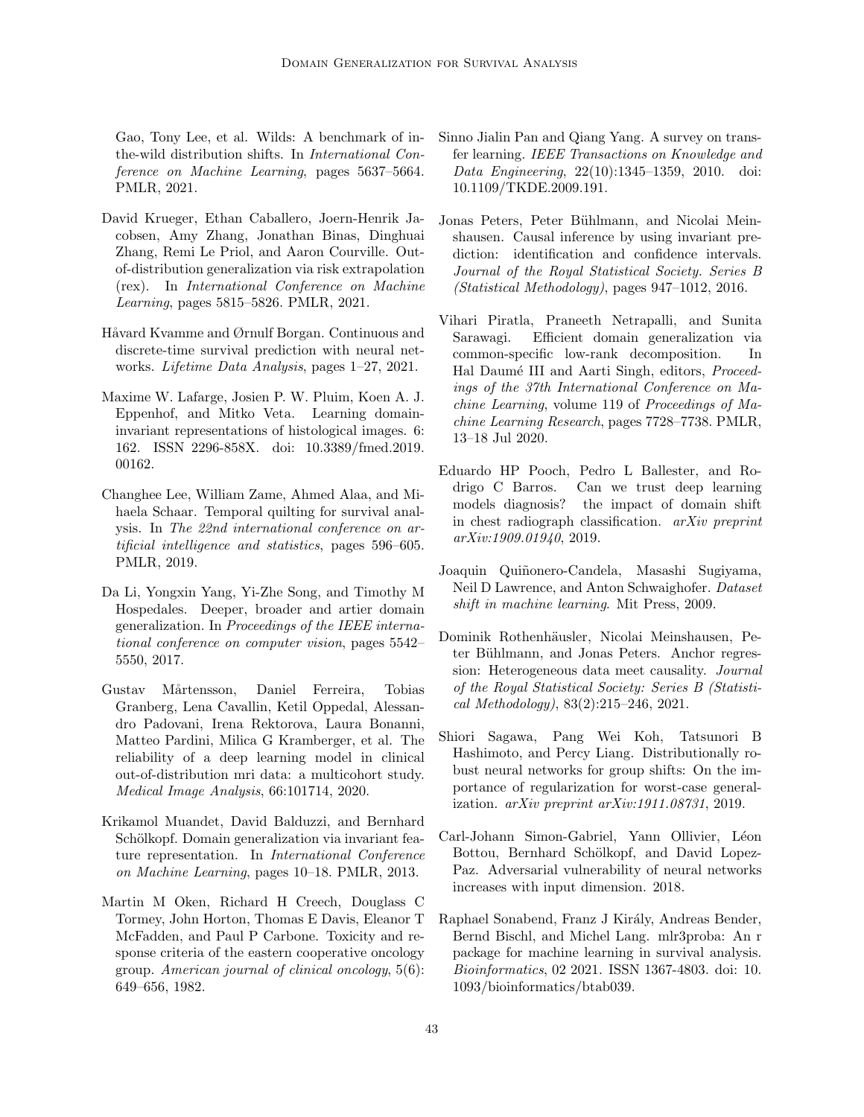Gao, Tony Lee, et al. Wilds: A benchmark of inthe-wild distribution shifts. In International Conference on Machine Learning, pages 5637–5664. PMLR, 2021.

- <span id="page-11-8"></span>David Krueger, Ethan Caballero, Joern-Henrik Jacobsen, Amy Zhang, Jonathan Binas, Dinghuai Zhang, Remi Le Priol, and Aaron Courville. Outof-distribution generalization via risk extrapolation (rex). In International Conference on Machine Learning, pages 5815–5826. PMLR, 2021.
- <span id="page-11-13"></span>Håvard Kvamme and Ørnulf Borgan. Continuous and discrete-time survival prediction with neural networks. Lifetime Data Analysis, pages 1–27, 2021.
- <span id="page-11-15"></span>Maxime W. Lafarge, Josien P. W. Pluim, Koen A. J. Eppenhof, and Mitko Veta. Learning domaininvariant representations of histological images. 6: 162. ISSN 2296-858X. doi: 10.3389/fmed.2019. 00162.
- <span id="page-11-10"></span>Changhee Lee, William Zame, Ahmed Alaa, and Mihaela Schaar. Temporal quilting for survival analysis. In The 22nd international conference on artificial intelligence and statistics, pages 596–605. PMLR, 2019.
- <span id="page-11-11"></span>Da Li, Yongxin Yang, Yi-Zhe Song, and Timothy M Hospedales. Deeper, broader and artier domain generalization. In Proceedings of the IEEE international conference on computer vision, pages 5542– 5550, 2017.
- <span id="page-11-2"></span>Gustav Mårtensson, Daniel Ferreira, Tobias Granberg, Lena Cavallin, Ketil Oppedal, Alessandro Padovani, Irena Rektorova, Laura Bonanni, Matteo Pardini, Milica G Kramberger, et al. The reliability of a deep learning model in clinical out-of-distribution mri data: a multicohort study. Medical Image Analysis, 66:101714, 2020.
- <span id="page-11-5"></span>Krikamol Muandet, David Balduzzi, and Bernhard Schölkopf. Domain generalization via invariant feature representation. In International Conference on Machine Learning, pages 10–18. PMLR, 2013.
- <span id="page-11-14"></span>Martin M Oken, Richard H Creech, Douglass C Tormey, John Horton, Thomas E Davis, Eleanor T McFadden, and Paul P Carbone. Toxicity and response criteria of the eastern cooperative oncology group. American journal of clinical oncology, 5(6): 649–656, 1982.
- <span id="page-11-3"></span>Sinno Jialin Pan and Qiang Yang. A survey on transfer learning. IEEE Transactions on Knowledge and Data Engineering, 22(10):1345–1359, 2010. doi: 10.1109/TKDE.2009.191.
- <span id="page-11-6"></span>Jonas Peters, Peter Bühlmann, and Nicolai Meinshausen. Causal inference by using invariant prediction: identification and confidence intervals. Journal of the Royal Statistical Society. Series B (Statistical Methodology), pages 947–1012, 2016.
- <span id="page-11-12"></span>Vihari Piratla, Praneeth Netrapalli, and Sunita Sarawagi. Efficient domain generalization via common-specific low-rank decomposition. In Hal Daumé III and Aarti Singh, editors, Proceedings of the 37th International Conference on Machine Learning, volume 119 of Proceedings of Machine Learning Research, pages 7728–7738. PMLR, 13–18 Jul 2020.
- <span id="page-11-1"></span>Eduardo HP Pooch, Pedro L Ballester, and Rodrigo C Barros. Can we trust deep learning models diagnosis? the impact of domain shift in chest radiograph classification. arXiv preprint arXiv:1909.01940, 2019.
- <span id="page-11-0"></span>Joaquin Quiñonero-Candela, Masashi Sugiyama, Neil D Lawrence, and Anton Schwaighofer. Dataset shift in machine learning. Mit Press, 2009.
- <span id="page-11-7"></span>Dominik Rothenhäusler, Nicolai Meinshausen, Peter Bühlmann, and Jonas Peters. Anchor regression: Heterogeneous data meet causality. Journal of the Royal Statistical Society: Series B (Statistical Methodology), 83(2):215–246, 2021.
- <span id="page-11-9"></span>Shiori Sagawa, Pang Wei Koh, Tatsunori B Hashimoto, and Percy Liang. Distributionally robust neural networks for group shifts: On the importance of regularization for worst-case generalization. arXiv preprint arXiv:1911.08731, 2019.
- <span id="page-11-4"></span>Carl-Johann Simon-Gabriel, Yann Ollivier, Léon Bottou, Bernhard Schölkopf, and David Lopez-Paz. Adversarial vulnerability of neural networks increases with input dimension. 2018.
- Raphael Sonabend, Franz J Király, Andreas Bender, Bernd Bischl, and Michel Lang. mlr3proba: An r package for machine learning in survival analysis. Bioinformatics, 02 2021. ISSN 1367-4803. doi: 10. 1093/bioinformatics/btab039.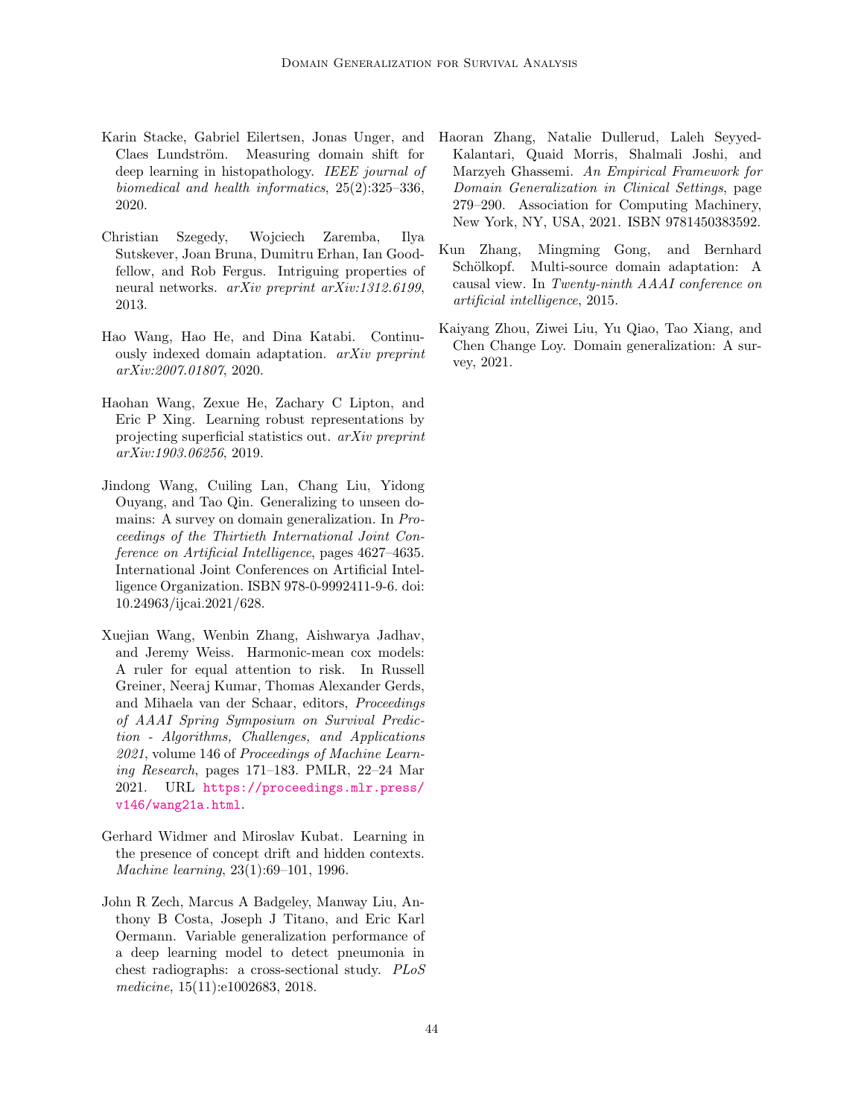- <span id="page-12-8"></span>Karin Stacke, Gabriel Eilertsen, Jonas Unger, and Claes Lundström. Measuring domain shift for deep learning in histopathology. IEEE journal of biomedical and health informatics, 25(2):325–336, 2020.
- <span id="page-12-5"></span>Christian Szegedy, Wojciech Zaremba, Ilya Sutskever, Joan Bruna, Dumitru Erhan, Ian Goodfellow, and Rob Fergus. Intriguing properties of neural networks. arXiv preprint arXiv:1312.6199, 2013.
- <span id="page-12-7"></span>Hao Wang, Hao He, and Dina Katabi. Continuously indexed domain adaptation. arXiv preprint arXiv:2007.01807, 2020.
- <span id="page-12-4"></span>Haohan Wang, Zexue He, Zachary C Lipton, and Eric P Xing. Learning robust representations by projecting superficial statistics out. arXiv preprint arXiv:1903.06256, 2019.
- <span id="page-12-10"></span>Jindong Wang, Cuiling Lan, Chang Liu, Yidong Ouyang, and Tao Qin. Generalizing to unseen domains: A survey on domain generalization. In Proceedings of the Thirtieth International Joint Conference on Artificial Intelligence, pages 4627–4635. International Joint Conferences on Artificial Intelligence Organization. ISBN 978-0-9992411-9-6. doi: 10.24963/ijcai.2021/628.
- <span id="page-12-9"></span>Xuejian Wang, Wenbin Zhang, Aishwarya Jadhav, and Jeremy Weiss. Harmonic-mean cox models: A ruler for equal attention to risk. In Russell Greiner, Neeraj Kumar, Thomas Alexander Gerds, and Mihaela van der Schaar, editors, Proceedings of AAAI Spring Symposium on Survival Prediction - Algorithms, Challenges, and Applications 2021, volume 146 of Proceedings of Machine Learning Research, pages 171–183. PMLR, 22–24 Mar 2021. URL [https://proceedings.mlr.press/](https://proceedings.mlr.press/v146/wang21a.html) [v146/wang21a.html](https://proceedings.mlr.press/v146/wang21a.html).
- <span id="page-12-0"></span>Gerhard Widmer and Miroslav Kubat. Learning in the presence of concept drift and hidden contexts. Machine learning, 23(1):69–101, 1996.
- <span id="page-12-2"></span>John R Zech, Marcus A Badgeley, Manway Liu, Anthony B Costa, Joseph J Titano, and Eric Karl Oermann. Variable generalization performance of a deep learning model to detect pneumonia in chest radiographs: a cross-sectional study. PLoS medicine, 15(11):e1002683, 2018.
- <span id="page-12-1"></span>Haoran Zhang, Natalie Dullerud, Laleh Seyyed-Kalantari, Quaid Morris, Shalmali Joshi, and Marzyeh Ghassemi. An Empirical Framework for Domain Generalization in Clinical Settings, page 279–290. Association for Computing Machinery, New York, NY, USA, 2021. ISBN 9781450383592.
- <span id="page-12-6"></span>Kun Zhang, Mingming Gong, and Bernhard Schölkopf. Multi-source domain adaptation: A causal view. In Twenty-ninth AAAI conference on artificial intelligence, 2015.
- <span id="page-12-3"></span>Kaiyang Zhou, Ziwei Liu, Yu Qiao, Tao Xiang, and Chen Change Loy. Domain generalization: A survey, 2021.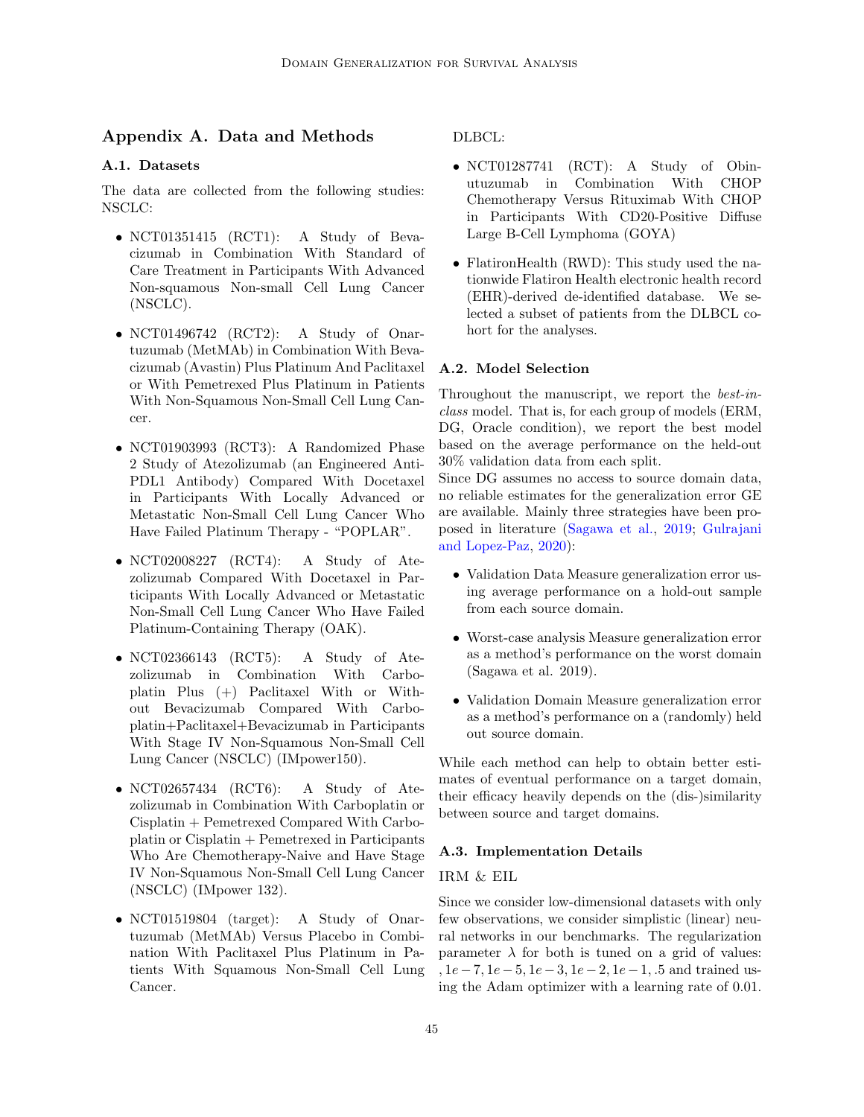# Appendix A. Data and Methods

## A.1. Datasets

The data are collected from the following studies: NSCLC:

- NCT01351415 (RCT1): A Study of Bevacizumab in Combination With Standard of Care Treatment in Participants With Advanced Non-squamous Non-small Cell Lung Cancer (NSCLC).
- NCT01496742 (RCT2): A Study of Onartuzumab (MetMAb) in Combination With Bevacizumab (Avastin) Plus Platinum And Paclitaxel or With Pemetrexed Plus Platinum in Patients With Non-Squamous Non-Small Cell Lung Cancer.
- NCT01903993 (RCT3): A Randomized Phase 2 Study of Atezolizumab (an Engineered Anti-PDL1 Antibody) Compared With Docetaxel in Participants With Locally Advanced or Metastatic Non-Small Cell Lung Cancer Who Have Failed Platinum Therapy - "POPLAR".
- NCT02008227 (RCT4): A Study of Atezolizumab Compared With Docetaxel in Participants With Locally Advanced or Metastatic Non-Small Cell Lung Cancer Who Have Failed Platinum-Containing Therapy (OAK).
- NCT02366143 (RCT5): A Study of Atezolizumab in Combination With Carboplatin Plus (+) Paclitaxel With or Without Bevacizumab Compared With Carboplatin+Paclitaxel+Bevacizumab in Participants With Stage IV Non-Squamous Non-Small Cell Lung Cancer (NSCLC) (IMpower150).
- NCT02657434 (RCT6): A Study of Atezolizumab in Combination With Carboplatin or Cisplatin + Pemetrexed Compared With Carboplatin or Cisplatin + Pemetrexed in Participants Who Are Chemotherapy-Naive and Have Stage IV Non-Squamous Non-Small Cell Lung Cancer (NSCLC) (IMpower 132).
- NCT01519804 (target): A Study of Onartuzumab (MetMAb) Versus Placebo in Combination With Paclitaxel Plus Platinum in Patients With Squamous Non-Small Cell Lung Cancer.

DLBCL:

- NCT01287741 (RCT): A Study of Obinutuzumab in Combination With CHOP Chemotherapy Versus Rituximab With CHOP in Participants With CD20-Positive Diffuse Large B-Cell Lymphoma (GOYA)
- FlatironHealth (RWD): This study used the nationwide Flatiron Health electronic health record (EHR)-derived de-identified database. We selected a subset of patients from the DLBCL cohort for the analyses.

## A.2. Model Selection

Throughout the manuscript, we report the best-inclass model. That is, for each group of models (ERM, DG, Oracle condition), we report the best model based on the average performance on the held-out 30% validation data from each split.

Since DG assumes no access to source domain data, no reliable estimates for the generalization error GE are available. Mainly three strategies have been proposed in literature [\(Sagawa et al.,](#page-11-9) [2019;](#page-11-9) [Gulrajani](#page-10-3) [and Lopez-Paz,](#page-10-3) [2020\)](#page-10-3):

- Validation Data Measure generalization error using average performance on a hold-out sample from each source domain.
- Worst-case analysis Measure generalization error as a method's performance on the worst domain (Sagawa et al. 2019).
- Validation Domain Measure generalization error as a method's performance on a (randomly) held out source domain.

While each method can help to obtain better estimates of eventual performance on a target domain, their efficacy heavily depends on the (dis-)similarity between source and target domains.

#### A.3. Implementation Details

#### IRM & EIL

Since we consider low-dimensional datasets with only few observations, we consider simplistic (linear) neural networks in our benchmarks. The regularization parameter  $\lambda$  for both is tuned on a grid of values: ,  $1e-7$ ,  $1e-5$ ,  $1e-3$ ,  $1e-2$ ,  $1e-1$ , .5 and trained using the Adam optimizer with a learning rate of 0.01.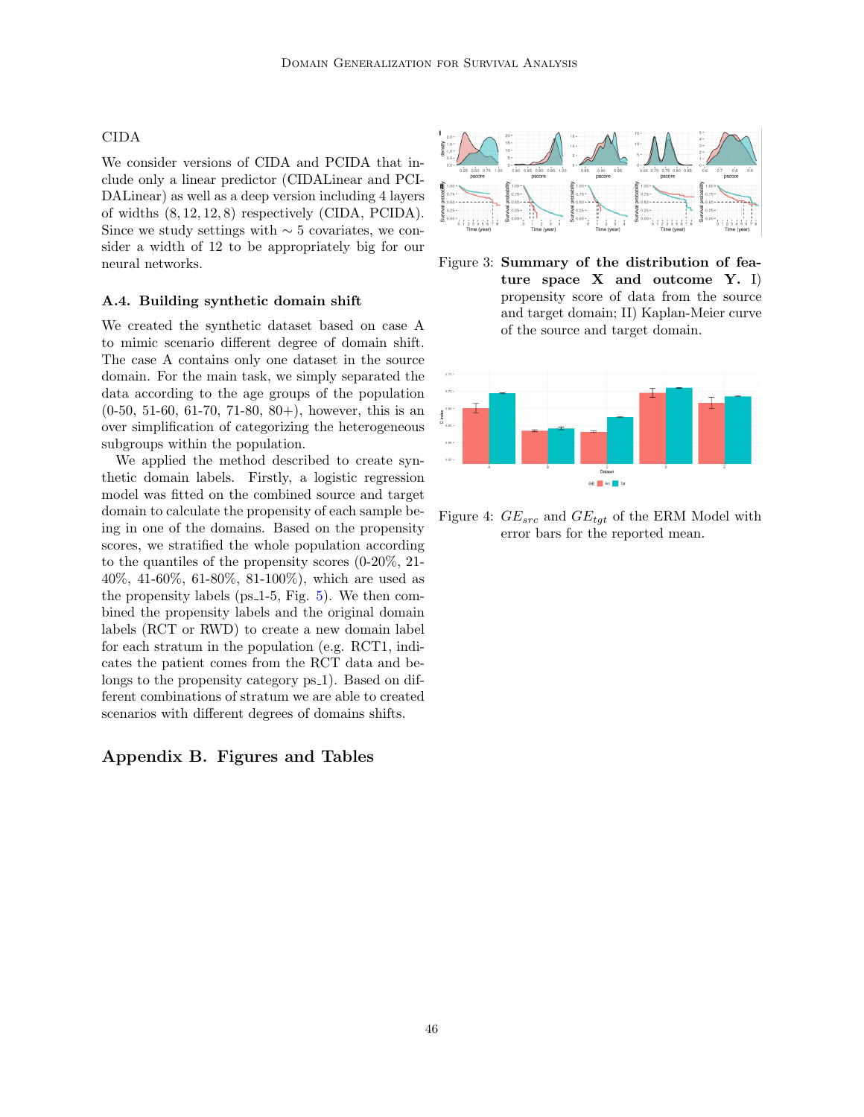#### CIDA

We consider versions of CIDA and PCIDA that include only a linear predictor (CIDALinear and PCI-DALinear) as well as a deep version including 4 layers of widths (8, 12, 12, 8) respectively (CIDA, PCIDA). Since we study settings with  $\sim$  5 covariates, we consider a width of 12 to be appropriately big for our neural networks.

#### A.4. Building synthetic domain shift

We created the synthetic dataset based on case A to mimic scenario different degree of domain shift. The case A contains only one dataset in the source domain. For the main task, we simply separated the data according to the age groups of the population  $(0-50, 51-60, 61-70, 71-80, 80+)$ , however, this is an over simplification of categorizing the heterogeneous subgroups within the population.

We applied the method described to create synthetic domain labels. Firstly, a logistic regression model was fitted on the combined source and target domain to calculate the propensity of each sample being in one of the domains. Based on the propensity scores, we stratified the whole population according to the quantiles of the propensity scores (0-20%, 21- 40%, 41-60%, 61-80%, 81-100%), which are used as the propensity labels ( $ps_1-5$ , Fig. [5\)](#page-15-1). We then combined the propensity labels and the original domain labels (RCT or RWD) to create a new domain label for each stratum in the population (e.g. RCT1, indicates the patient comes from the RCT data and belongs to the propensity category ps<sub>1</sub>). Based on different combinations of stratum we are able to created scenarios with different degrees of domains shifts.

## Appendix B. Figures and Tables



<span id="page-14-0"></span>Figure 3: Summary of the distribution of feature space X and outcome Y. I) propensity score of data from the source and target domain; II) Kaplan-Meier curve of the source and target domain.



<span id="page-14-1"></span>Figure 4:  $GE_{src}$  and  $GE_{tgt}$  of the ERM Model with error bars for the reported mean.